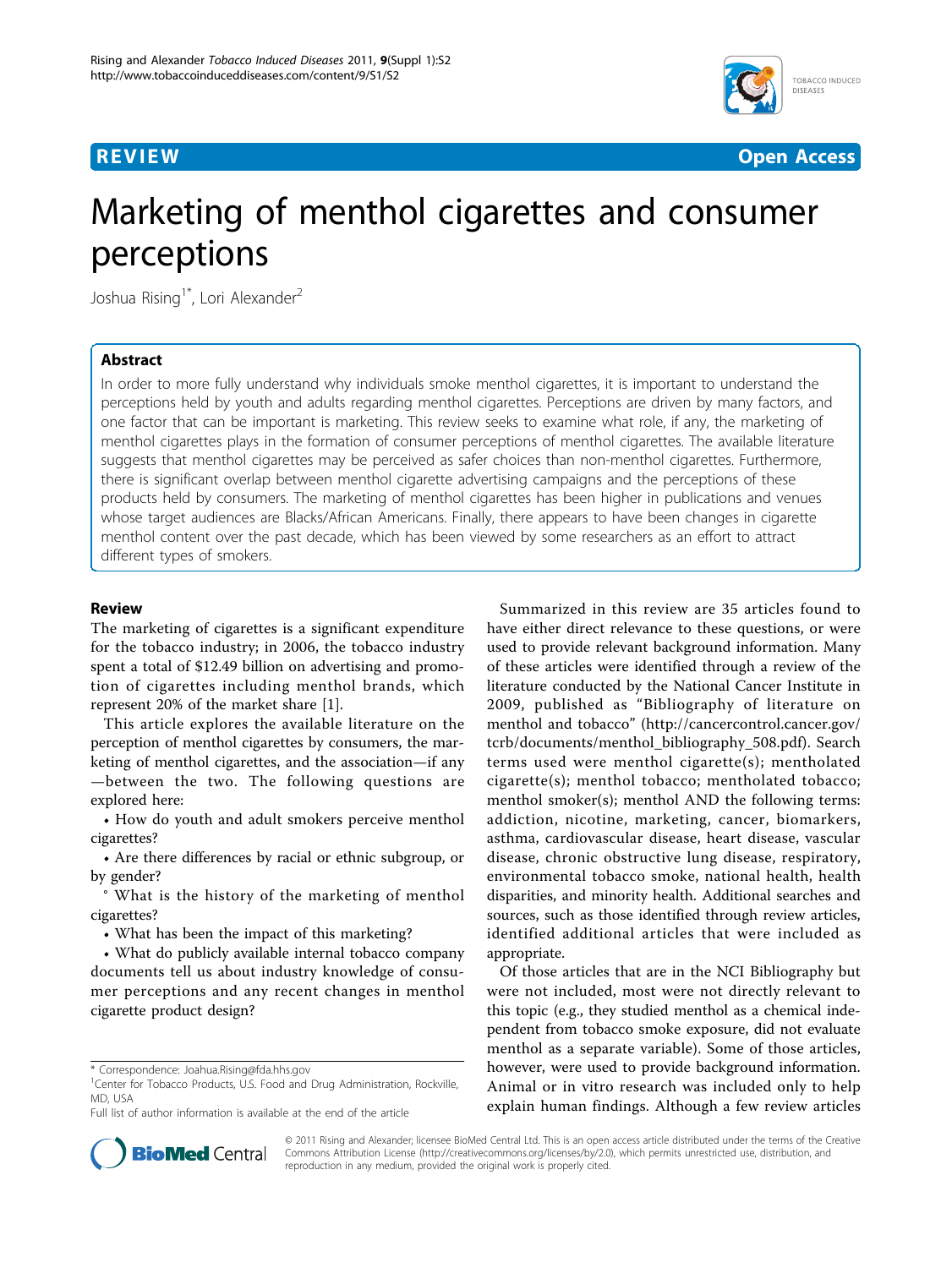



# Marketing of menthol cigarettes and consumer perceptions

Joshua Rising<sup>1\*</sup>, Lori Alexander<sup>2</sup>

### Abstract

In order to more fully understand why individuals smoke menthol cigarettes, it is important to understand the perceptions held by youth and adults regarding menthol cigarettes. Perceptions are driven by many factors, and one factor that can be important is marketing. This review seeks to examine what role, if any, the marketing of menthol cigarettes plays in the formation of consumer perceptions of menthol cigarettes. The available literature suggests that menthol cigarettes may be perceived as safer choices than non-menthol cigarettes. Furthermore, there is significant overlap between menthol cigarette advertising campaigns and the perceptions of these products held by consumers. The marketing of menthol cigarettes has been higher in publications and venues whose target audiences are Blacks/African Americans. Finally, there appears to have been changes in cigarette menthol content over the past decade, which has been viewed by some researchers as an effort to attract different types of smokers.

#### Review

The marketing of cigarettes is a significant expenditure for the tobacco industry; in 2006, the tobacco industry spent a total of \$12.49 billion on advertising and promotion of cigarettes including menthol brands, which represent 20% of the market share [[1\]](#page-7-0).

This article explores the available literature on the perception of menthol cigarettes by consumers, the marketing of menthol cigarettes, and the association—if any —between the two. The following questions are explored here:

• How do youth and adult smokers perceive menthol cigarettes?

• Are there differences by racial or ethnic subgroup, or by gender?

° What is the history of the marketing of menthol cigarettes?

• What has been the impact of this marketing?

• What do publicly available internal tobacco company documents tell us about industry knowledge of consumer perceptions and any recent changes in menthol cigarette product design?

Summarized in this review are 35 articles found to have either direct relevance to these questions, or were used to provide relevant background information. Many of these articles were identified through a review of the literature conducted by the National Cancer Institute in 2009, published as "Bibliography of literature on menthol and tobacco" [\(http://cancercontrol.cancer.gov/](http://cancercontrol.cancer.gov/tcrb/documents/menthol_bibliography_508.pdf) [tcrb/documents/menthol\\_bibliography\\_508.pdf](http://cancercontrol.cancer.gov/tcrb/documents/menthol_bibliography_508.pdf)). Search terms used were menthol cigarette(s); mentholated cigarette(s); menthol tobacco; mentholated tobacco; menthol smoker(s); menthol AND the following terms: addiction, nicotine, marketing, cancer, biomarkers, asthma, cardiovascular disease, heart disease, vascular disease, chronic obstructive lung disease, respiratory, environmental tobacco smoke, national health, health disparities, and minority health. Additional searches and sources, such as those identified through review articles, identified additional articles that were included as appropriate.

Of those articles that are in the NCI Bibliography but were not included, most were not directly relevant to this topic (e.g., they studied menthol as a chemical independent from tobacco smoke exposure, did not evaluate menthol as a separate variable). Some of those articles, however, were used to provide background information. Animal or in vitro research was included only to help explain human findings. Although a few review articles



© 2011 Rising and Alexander; licensee BioMed Central Ltd. This is an open access article distributed under the terms of the Creative Commons Attribution License [\(http://creativecommons.org/licenses/by/2.0](http://creativecommons.org/licenses/by/2.0)), which permits unrestricted use, distribution, and reproduction in any medium, provided the original work is properly cited.

<sup>\*</sup> Correspondence: [Joahua.Rising@fda.hhs.gov](mailto:Joahua.Rising@fda.hhs.gov)

<sup>&</sup>lt;sup>1</sup>Center for Tobacco Products, U.S. Food and Drug Administration, Rockville, MD, USA

Full list of author information is available at the end of the article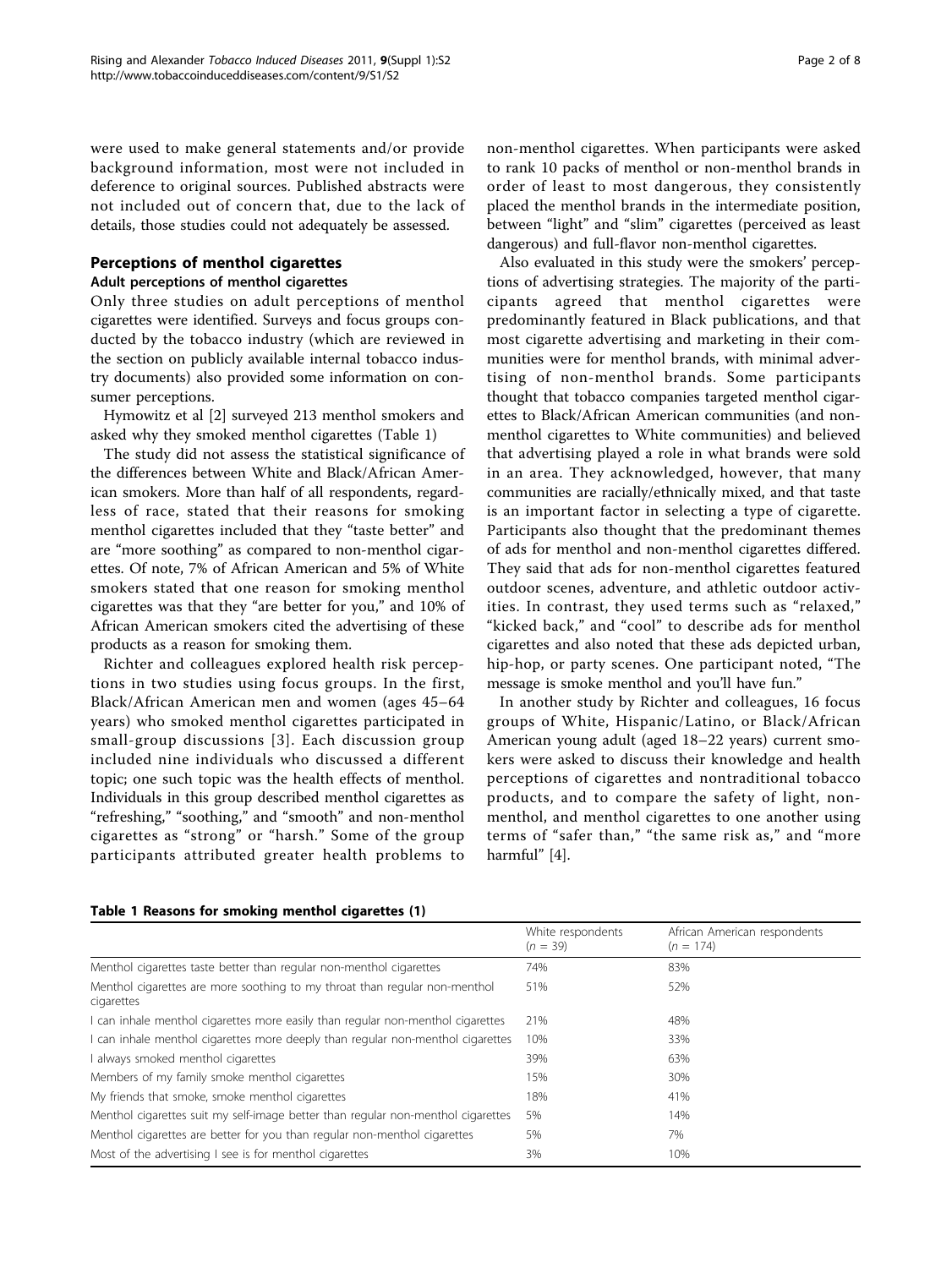were used to make general statements and/or provide background information, most were not included in deference to original sources. Published abstracts were not included out of concern that, due to the lack of details, those studies could not adequately be assessed.

## Perceptions of menthol cigarettes

#### Adult perceptions of menthol cigarettes

Only three studies on adult perceptions of menthol cigarettes were identified. Surveys and focus groups conducted by the tobacco industry (which are reviewed in the section on publicly available internal tobacco industry documents) also provided some information on consumer perceptions.

Hymowitz et al [[2\]](#page-7-0) surveyed 213 menthol smokers and asked why they smoked menthol cigarettes (Table 1)

The study did not assess the statistical significance of the differences between White and Black/African American smokers. More than half of all respondents, regardless of race, stated that their reasons for smoking menthol cigarettes included that they "taste better" and are "more soothing" as compared to non-menthol cigarettes. Of note, 7% of African American and 5% of White smokers stated that one reason for smoking menthol cigarettes was that they "are better for you," and 10% of African American smokers cited the advertising of these products as a reason for smoking them.

Richter and colleagues explored health risk perceptions in two studies using focus groups. In the first, Black/African American men and women (ages 45–64 years) who smoked menthol cigarettes participated in small-group discussions [[3\]](#page-7-0). Each discussion group included nine individuals who discussed a different topic; one such topic was the health effects of menthol. Individuals in this group described menthol cigarettes as "refreshing," "soothing," and "smooth" and non-menthol cigarettes as "strong" or "harsh." Some of the group participants attributed greater health problems to non-menthol cigarettes. When participants were asked to rank 10 packs of menthol or non-menthol brands in order of least to most dangerous, they consistently placed the menthol brands in the intermediate position, between "light" and "slim" cigarettes (perceived as least dangerous) and full-flavor non-menthol cigarettes.

Also evaluated in this study were the smokers' perceptions of advertising strategies. The majority of the participants agreed that menthol cigarettes were predominantly featured in Black publications, and that most cigarette advertising and marketing in their communities were for menthol brands, with minimal advertising of non-menthol brands. Some participants thought that tobacco companies targeted menthol cigarettes to Black/African American communities (and nonmenthol cigarettes to White communities) and believed that advertising played a role in what brands were sold in an area. They acknowledged, however, that many communities are racially/ethnically mixed, and that taste is an important factor in selecting a type of cigarette. Participants also thought that the predominant themes of ads for menthol and non-menthol cigarettes differed. They said that ads for non-menthol cigarettes featured outdoor scenes, adventure, and athletic outdoor activities. In contrast, they used terms such as "relaxed," "kicked back," and "cool" to describe ads for menthol cigarettes and also noted that these ads depicted urban, hip-hop, or party scenes. One participant noted, "The message is smoke menthol and you'll have fun."

In another study by Richter and colleagues, 16 focus groups of White, Hispanic/Latino, or Black/African American young adult (aged 18–22 years) current smokers were asked to discuss their knowledge and health perceptions of cigarettes and nontraditional tobacco products, and to compare the safety of light, nonmenthol, and menthol cigarettes to one another using terms of "safer than," "the same risk as," and "more harmful" [[4\]](#page-7-0).

|                                                                                          | White respondents<br>$(n = 39)$ | African American respondents<br>$(n = 174)$ |
|------------------------------------------------------------------------------------------|---------------------------------|---------------------------------------------|
| Menthol cigarettes taste better than regular non-menthol cigarettes                      | 74%                             | 83%                                         |
| Menthol cigarettes are more soothing to my throat than regular non-menthol<br>cigarettes | 51%                             | 52%                                         |
| I can inhale menthol cigarettes more easily than regular non-menthol cigarettes          | 21%                             | 48%                                         |
| I can inhale menthol cigarettes more deeply than regular non-menthol cigarettes          | 10%                             | 33%                                         |
| I always smoked menthol cigarettes                                                       | 39%                             | 63%                                         |
| Members of my family smoke menthol cigarettes                                            | 15%                             | 30%                                         |
| My friends that smoke, smoke menthol cigarettes                                          | 18%                             | 41%                                         |
| Menthol cigarettes suit my self-image better than regular non-menthol cigarettes         | 5%                              | 14%                                         |
| Menthol cigarettes are better for you than regular non-menthol cigarettes                | 5%                              | 7%                                          |
| Most of the advertising I see is for menthol cigarettes                                  | 3%                              | 10%                                         |

#### Table 1 Reasons for smoking menthol cigarettes (1)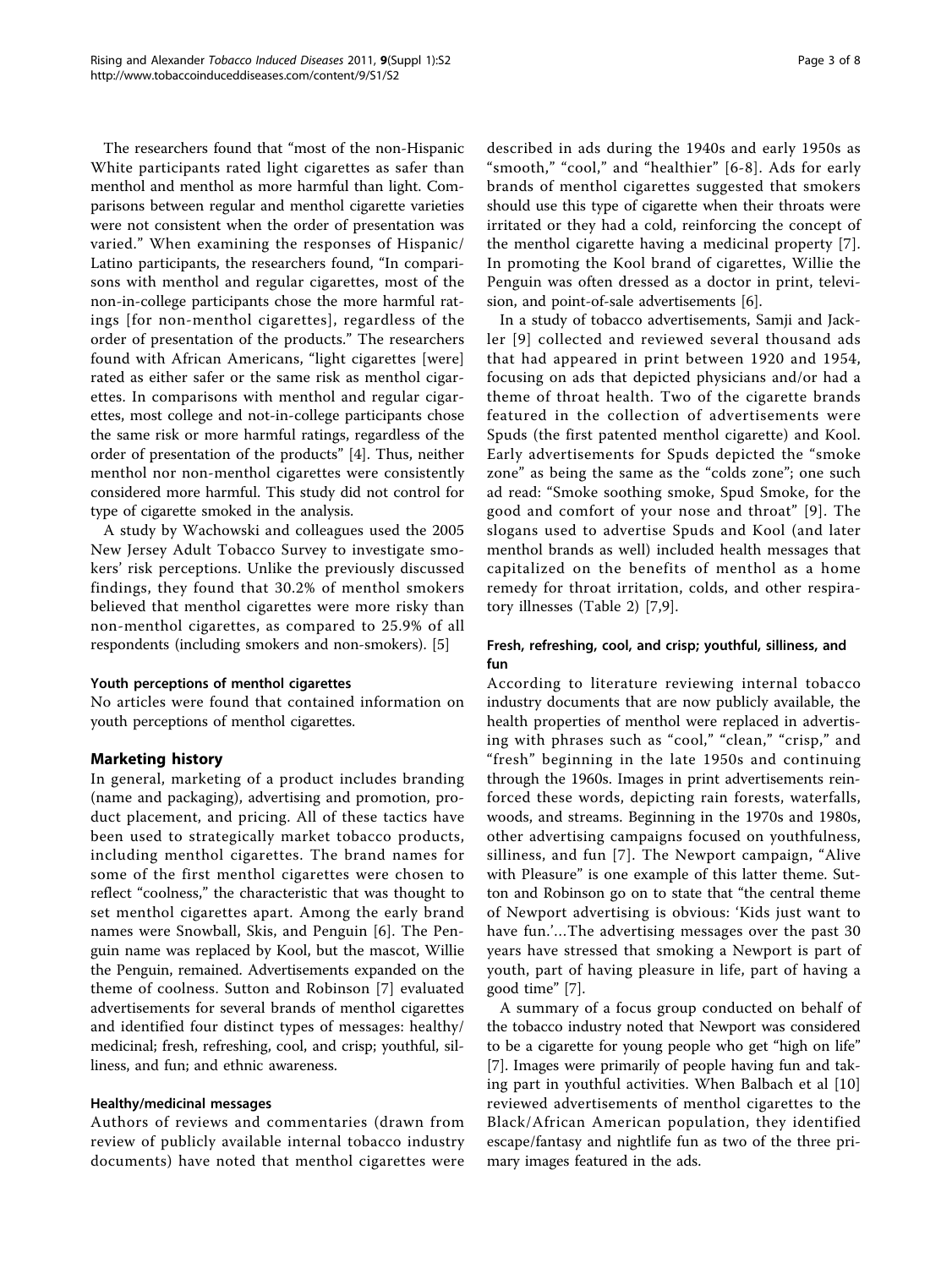The researchers found that "most of the non-Hispanic White participants rated light cigarettes as safer than menthol and menthol as more harmful than light. Comparisons between regular and menthol cigarette varieties were not consistent when the order of presentation was varied." When examining the responses of Hispanic/ Latino participants, the researchers found, "In comparisons with menthol and regular cigarettes, most of the non-in-college participants chose the more harmful ratings [for non-menthol cigarettes], regardless of the order of presentation of the products." The researchers found with African Americans, "light cigarettes [were] rated as either safer or the same risk as menthol cigarettes. In comparisons with menthol and regular cigarettes, most college and not-in-college participants chose the same risk or more harmful ratings, regardless of the order of presentation of the products" [\[4](#page-7-0)]. Thus, neither menthol nor non-menthol cigarettes were consistently considered more harmful. This study did not control for type of cigarette smoked in the analysis.

A study by Wachowski and colleagues used the 2005 New Jersey Adult Tobacco Survey to investigate smokers' risk perceptions. Unlike the previously discussed findings, they found that 30.2% of menthol smokers believed that menthol cigarettes were more risky than non-menthol cigarettes, as compared to 25.9% of all respondents (including smokers and non-smokers). [\[5](#page-7-0)]

#### Youth perceptions of menthol cigarettes

No articles were found that contained information on youth perceptions of menthol cigarettes.

#### Marketing history

In general, marketing of a product includes branding (name and packaging), advertising and promotion, product placement, and pricing. All of these tactics have been used to strategically market tobacco products, including menthol cigarettes. The brand names for some of the first menthol cigarettes were chosen to reflect "coolness," the characteristic that was thought to set menthol cigarettes apart. Among the early brand names were Snowball, Skis, and Penguin [[6\]](#page-7-0). The Penguin name was replaced by Kool, but the mascot, Willie the Penguin, remained. Advertisements expanded on the theme of coolness. Sutton and Robinson [[7\]](#page-7-0) evaluated advertisements for several brands of menthol cigarettes and identified four distinct types of messages: healthy/ medicinal; fresh, refreshing, cool, and crisp; youthful, silliness, and fun; and ethnic awareness.

#### Healthy/medicinal messages

Authors of reviews and commentaries (drawn from review of publicly available internal tobacco industry documents) have noted that menthol cigarettes were

described in ads during the 1940s and early 1950s as "smooth," "cool," and "healthier" [[6](#page-7-0)-[8](#page-7-0)]. Ads for early brands of menthol cigarettes suggested that smokers should use this type of cigarette when their throats were irritated or they had a cold, reinforcing the concept of the menthol cigarette having a medicinal property [[7](#page-7-0)]. In promoting the Kool brand of cigarettes, Willie the Penguin was often dressed as a doctor in print, television, and point-of-sale advertisements [[6\]](#page-7-0).

In a study of tobacco advertisements, Samji and Jackler [[9](#page-7-0)] collected and reviewed several thousand ads that had appeared in print between 1920 and 1954, focusing on ads that depicted physicians and/or had a theme of throat health. Two of the cigarette brands featured in the collection of advertisements were Spuds (the first patented menthol cigarette) and Kool. Early advertisements for Spuds depicted the "smoke zone" as being the same as the "colds zone"; one such ad read: "Smoke soothing smoke, Spud Smoke, for the good and comfort of your nose and throat" [[9\]](#page-7-0). The slogans used to advertise Spuds and Kool (and later menthol brands as well) included health messages that capitalized on the benefits of menthol as a home remedy for throat irritation, colds, and other respiratory illnesses (Table [2](#page-3-0)) [[7,9](#page-7-0)].

#### Fresh, refreshing, cool, and crisp; youthful, silliness, and fun

According to literature reviewing internal tobacco industry documents that are now publicly available, the health properties of menthol were replaced in advertising with phrases such as "cool," "clean," "crisp," and "fresh" beginning in the late 1950s and continuing through the 1960s. Images in print advertisements reinforced these words, depicting rain forests, waterfalls, woods, and streams. Beginning in the 1970s and 1980s, other advertising campaigns focused on youthfulness, silliness, and fun [[7\]](#page-7-0). The Newport campaign, "Alive with Pleasure" is one example of this latter theme. Sutton and Robinson go on to state that "the central theme of Newport advertising is obvious: 'Kids just want to have fun.'…The advertising messages over the past 30 years have stressed that smoking a Newport is part of youth, part of having pleasure in life, part of having a good time" [\[7](#page-7-0)].

A summary of a focus group conducted on behalf of the tobacco industry noted that Newport was considered to be a cigarette for young people who get "high on life" [[7\]](#page-7-0). Images were primarily of people having fun and taking part in youthful activities. When Balbach et al [\[10](#page-7-0)] reviewed advertisements of menthol cigarettes to the Black/African American population, they identified escape/fantasy and nightlife fun as two of the three primary images featured in the ads.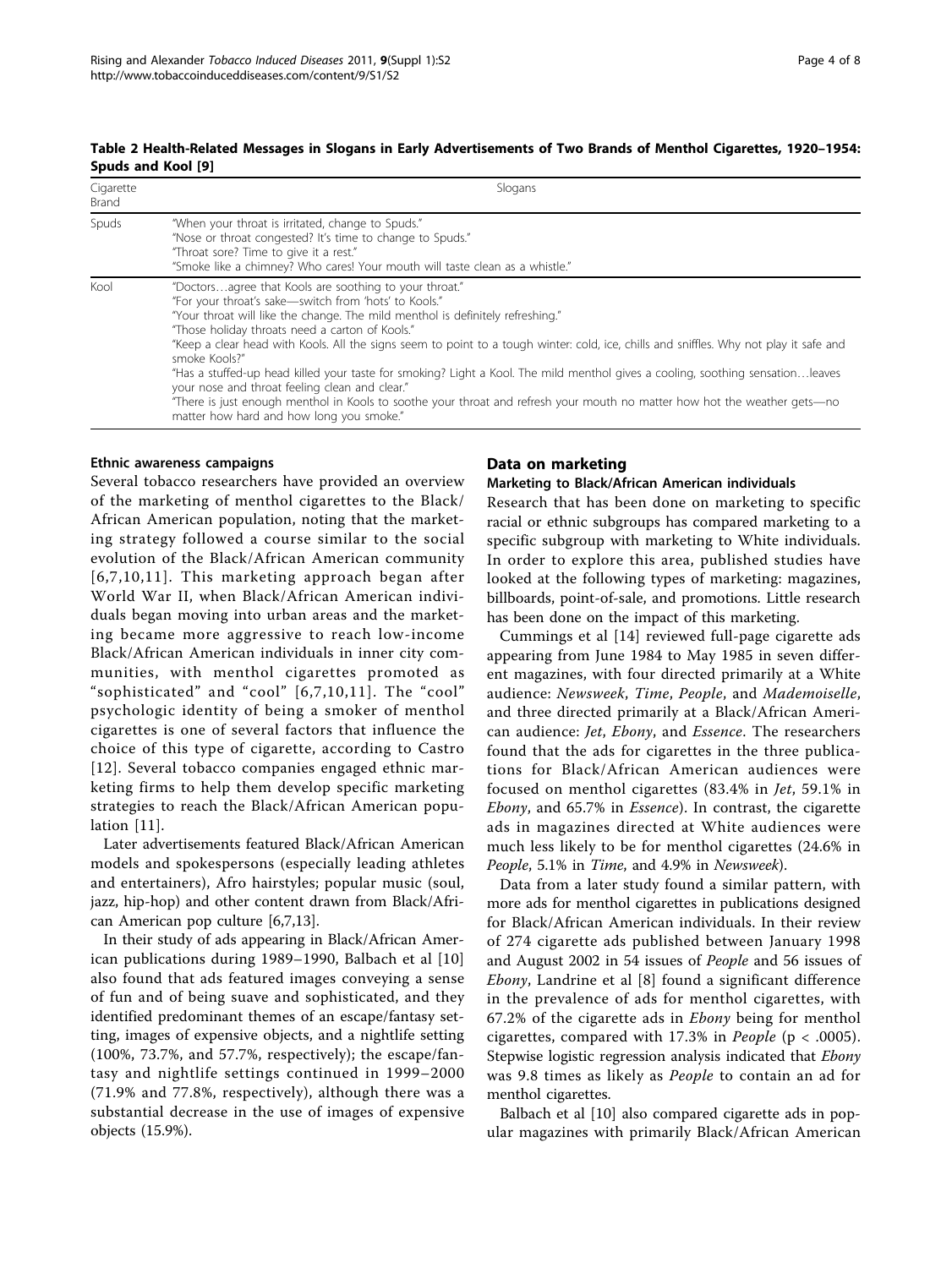| Cigarette<br>Brand | Slogans                                                                                                                                                                                                                                                                                                                                                                                                                                                                                                                                                                                                                                                                                                                                                                      |
|--------------------|------------------------------------------------------------------------------------------------------------------------------------------------------------------------------------------------------------------------------------------------------------------------------------------------------------------------------------------------------------------------------------------------------------------------------------------------------------------------------------------------------------------------------------------------------------------------------------------------------------------------------------------------------------------------------------------------------------------------------------------------------------------------------|
| Spuds              | "When your throat is irritated, change to Spuds."<br>"Nose or throat congested? It's time to change to Spuds."<br>"Throat sore? Time to give it a rest."<br>"Smoke like a chimney? Who cares! Your mouth will taste clean as a whistle."                                                                                                                                                                                                                                                                                                                                                                                                                                                                                                                                     |
| Kool               | "Doctorsagree that Kools are soothing to your throat."<br>"For your throat's sake-switch from 'hots' to Kools."<br>"Your throat will like the change. The mild menthol is definitely refreshing."<br>"Those holiday throats need a carton of Kools."<br>"Keep a clear head with Kools. All the signs seem to point to a tough winter: cold, ice, chills and sniffles. Why not play it safe and<br>smoke Kools?"<br>"Has a stuffed-up head killed your taste for smoking? Light a Kool. The mild menthol gives a cooling, soothing sensationleaves<br>your nose and throat feeling clean and clear."<br>"There is just enough menthol in Kools to soothe your throat and refresh your mouth no matter how hot the weather gets—no<br>matter how hard and how long you smoke." |

#### <span id="page-3-0"></span>Table 2 Health-Related Messages in Slogans in Early Advertisements of Two Brands of Menthol Cigarettes, 1920–1954: Spuds and Kool [\[9](#page-7-0)]

#### Ethnic awareness campaigns

Several tobacco researchers have provided an overview of the marketing of menthol cigarettes to the Black/ African American population, noting that the marketing strategy followed a course similar to the social evolution of the Black/African American community [[6,7](#page-7-0),[10](#page-7-0),[11\]](#page-7-0). This marketing approach began after World War II, when Black/African American individuals began moving into urban areas and the marketing became more aggressive to reach low-income Black/African American individuals in inner city communities, with menthol cigarettes promoted as "sophisticated" and "cool" [[6,7](#page-7-0),[10,11\]](#page-7-0). The "cool" psychologic identity of being a smoker of menthol cigarettes is one of several factors that influence the choice of this type of cigarette, according to Castro [[12](#page-7-0)]. Several tobacco companies engaged ethnic marketing firms to help them develop specific marketing strategies to reach the Black/African American population [\[11](#page-7-0)].

Later advertisements featured Black/African American models and spokespersons (especially leading athletes and entertainers), Afro hairstyles; popular music (soul, jazz, hip-hop) and other content drawn from Black/African American pop culture [[6,7,13\]](#page-7-0).

In their study of ads appearing in Black/African American publications during 1989–1990, Balbach et al [\[10](#page-7-0)] also found that ads featured images conveying a sense of fun and of being suave and sophisticated, and they identified predominant themes of an escape/fantasy setting, images of expensive objects, and a nightlife setting (100%, 73.7%, and 57.7%, respectively); the escape/fantasy and nightlife settings continued in 1999–2000 (71.9% and 77.8%, respectively), although there was a substantial decrease in the use of images of expensive objects (15.9%).

#### Data on marketing

#### Marketing to Black/African American individuals

Research that has been done on marketing to specific racial or ethnic subgroups has compared marketing to a specific subgroup with marketing to White individuals. In order to explore this area, published studies have looked at the following types of marketing: magazines, billboards, point-of-sale, and promotions. Little research has been done on the impact of this marketing.

Cummings et al [\[14](#page-7-0)] reviewed full-page cigarette ads appearing from June 1984 to May 1985 in seven different magazines, with four directed primarily at a White audience: Newsweek, Time, People, and Mademoiselle, and three directed primarily at a Black/African American audience: Jet, Ebony, and Essence. The researchers found that the ads for cigarettes in the three publications for Black/African American audiences were focused on menthol cigarettes (83.4% in Jet, 59.1% in Ebony, and 65.7% in Essence). In contrast, the cigarette ads in magazines directed at White audiences were much less likely to be for menthol cigarettes (24.6% in People, 5.1% in Time, and 4.9% in Newsweek).

Data from a later study found a similar pattern, with more ads for menthol cigarettes in publications designed for Black/African American individuals. In their review of 274 cigarette ads published between January 1998 and August 2002 in 54 issues of People and 56 issues of Ebony, Landrine et al [\[8](#page-7-0)] found a significant difference in the prevalence of ads for menthol cigarettes, with 67.2% of the cigarette ads in Ebony being for menthol cigarettes, compared with 17.3% in People ( $p < .0005$ ). Stepwise logistic regression analysis indicated that Ebony was 9.8 times as likely as People to contain an ad for menthol cigarettes.

Balbach et al [[10\]](#page-7-0) also compared cigarette ads in popular magazines with primarily Black/African American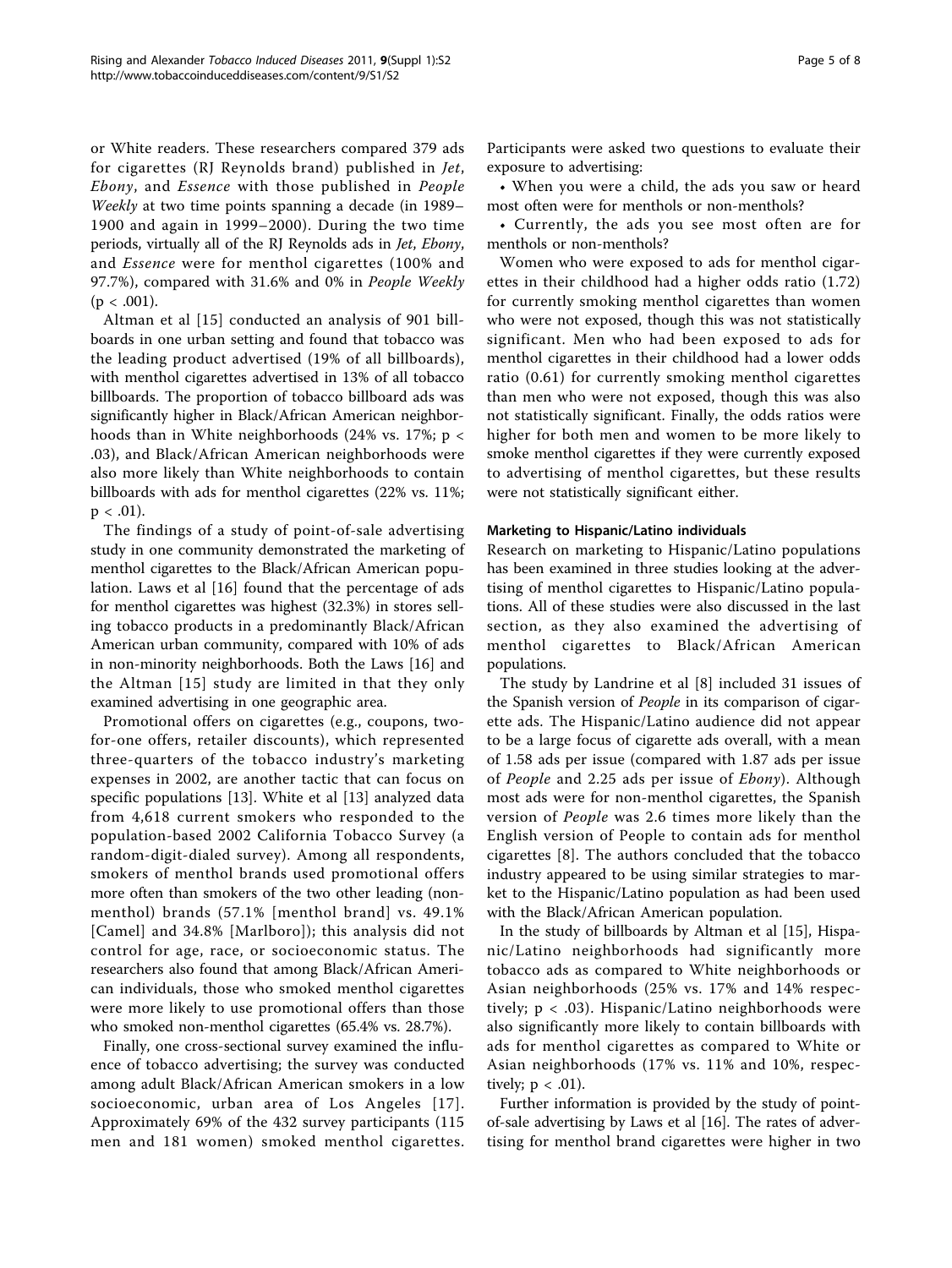or White readers. These researchers compared 379 ads for cigarettes (RJ Reynolds brand) published in Jet, Ebony, and Essence with those published in People Weekly at two time points spanning a decade (in 1989– 1900 and again in 1999–2000). During the two time periods, virtually all of the RJ Reynolds ads in Jet, Ebony, and Essence were for menthol cigarettes (100% and 97.7%), compared with 31.6% and 0% in People Weekly  $(p < .001)$ .

Altman et al [[15\]](#page-7-0) conducted an analysis of 901 billboards in one urban setting and found that tobacco was the leading product advertised (19% of all billboards), with menthol cigarettes advertised in 13% of all tobacco billboards. The proportion of tobacco billboard ads was significantly higher in Black/African American neighborhoods than in White neighborhoods (24% vs. 17%; p < .03), and Black/African American neighborhoods were also more likely than White neighborhoods to contain billboards with ads for menthol cigarettes (22% vs. 11%;  $p < .01$ ).

The findings of a study of point-of-sale advertising study in one community demonstrated the marketing of menthol cigarettes to the Black/African American population. Laws et al [[16\]](#page-7-0) found that the percentage of ads for menthol cigarettes was highest (32.3%) in stores selling tobacco products in a predominantly Black/African American urban community, compared with 10% of ads in non-minority neighborhoods. Both the Laws [\[16\]](#page-7-0) and the Altman [[15](#page-7-0)] study are limited in that they only examined advertising in one geographic area.

Promotional offers on cigarettes (e.g., coupons, twofor-one offers, retailer discounts), which represented three-quarters of the tobacco industry's marketing expenses in 2002, are another tactic that can focus on specific populations [[13\]](#page-7-0). White et al [[13\]](#page-7-0) analyzed data from 4,618 current smokers who responded to the population-based 2002 California Tobacco Survey (a random-digit-dialed survey). Among all respondents, smokers of menthol brands used promotional offers more often than smokers of the two other leading (nonmenthol) brands (57.1% [menthol brand] vs. 49.1% [Camel] and 34.8% [Marlboro]); this analysis did not control for age, race, or socioeconomic status. The researchers also found that among Black/African American individuals, those who smoked menthol cigarettes were more likely to use promotional offers than those who smoked non-menthol cigarettes (65.4% vs. 28.7%).

Finally, one cross-sectional survey examined the influence of tobacco advertising; the survey was conducted among adult Black/African American smokers in a low socioeconomic, urban area of Los Angeles [[17\]](#page-7-0). Approximately 69% of the 432 survey participants (115 men and 181 women) smoked menthol cigarettes. Participants were asked two questions to evaluate their exposure to advertising:

• When you were a child, the ads you saw or heard most often were for menthols or non-menthols?

• Currently, the ads you see most often are for menthols or non-menthols?

Women who were exposed to ads for menthol cigarettes in their childhood had a higher odds ratio (1.72) for currently smoking menthol cigarettes than women who were not exposed, though this was not statistically significant. Men who had been exposed to ads for menthol cigarettes in their childhood had a lower odds ratio (0.61) for currently smoking menthol cigarettes than men who were not exposed, though this was also not statistically significant. Finally, the odds ratios were higher for both men and women to be more likely to smoke menthol cigarettes if they were currently exposed to advertising of menthol cigarettes, but these results were not statistically significant either.

#### Marketing to Hispanic/Latino individuals

Research on marketing to Hispanic/Latino populations has been examined in three studies looking at the advertising of menthol cigarettes to Hispanic/Latino populations. All of these studies were also discussed in the last section, as they also examined the advertising of menthol cigarettes to Black/African American populations.

The study by Landrine et al [[8](#page-7-0)] included 31 issues of the Spanish version of People in its comparison of cigarette ads. The Hispanic/Latino audience did not appear to be a large focus of cigarette ads overall, with a mean of 1.58 ads per issue (compared with 1.87 ads per issue of People and 2.25 ads per issue of Ebony). Although most ads were for non-menthol cigarettes, the Spanish version of People was 2.6 times more likely than the English version of People to contain ads for menthol cigarettes [[8\]](#page-7-0). The authors concluded that the tobacco industry appeared to be using similar strategies to market to the Hispanic/Latino population as had been used with the Black/African American population.

In the study of billboards by Altman et al [\[15\]](#page-7-0), Hispanic/Latino neighborhoods had significantly more tobacco ads as compared to White neighborhoods or Asian neighborhoods (25% vs. 17% and 14% respectively; p < .03). Hispanic/Latino neighborhoods were also significantly more likely to contain billboards with ads for menthol cigarettes as compared to White or Asian neighborhoods (17% vs. 11% and 10%, respectively;  $p < .01$ ).

Further information is provided by the study of pointof-sale advertising by Laws et al [[16\]](#page-7-0). The rates of advertising for menthol brand cigarettes were higher in two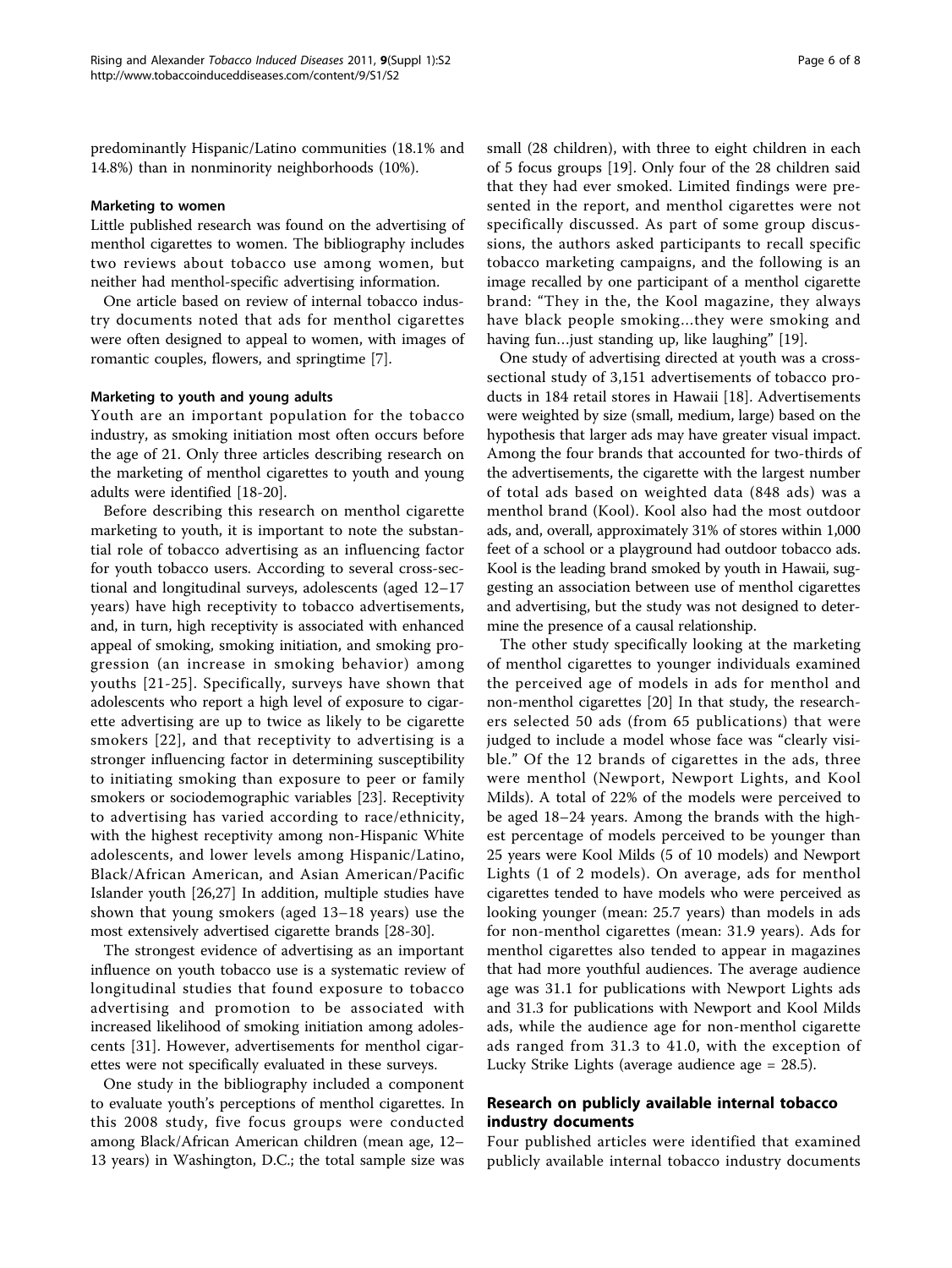predominantly Hispanic/Latino communities (18.1% and 14.8%) than in nonminority neighborhoods (10%).

#### Marketing to women

Little published research was found on the advertising of menthol cigarettes to women. The bibliography includes two reviews about tobacco use among women, but neither had menthol-specific advertising information.

One article based on review of internal tobacco industry documents noted that ads for menthol cigarettes were often designed to appeal to women, with images of romantic couples, flowers, and springtime [\[7](#page-7-0)].

#### Marketing to youth and young adults

Youth are an important population for the tobacco industry, as smoking initiation most often occurs before the age of 21. Only three articles describing research on the marketing of menthol cigarettes to youth and young adults were identified [\[18](#page-7-0)-[20](#page-7-0)].

Before describing this research on menthol cigarette marketing to youth, it is important to note the substantial role of tobacco advertising as an influencing factor for youth tobacco users. According to several cross-sectional and longitudinal surveys, adolescents (aged 12–17 years) have high receptivity to tobacco advertisements, and, in turn, high receptivity is associated with enhanced appeal of smoking, smoking initiation, and smoking progression (an increase in smoking behavior) among youths [[21](#page-7-0)-[25\]](#page-7-0). Specifically, surveys have shown that adolescents who report a high level of exposure to cigarette advertising are up to twice as likely to be cigarette smokers [[22\]](#page-7-0), and that receptivity to advertising is a stronger influencing factor in determining susceptibility to initiating smoking than exposure to peer or family smokers or sociodemographic variables [[23\]](#page-7-0). Receptivity to advertising has varied according to race/ethnicity, with the highest receptivity among non-Hispanic White adolescents, and lower levels among Hispanic/Latino, Black/African American, and Asian American/Pacific Islander youth [[26,27\]](#page-7-0) In addition, multiple studies have shown that young smokers (aged 13–18 years) use the most extensively advertised cigarette brands [[28](#page-7-0)-[30\]](#page-7-0).

The strongest evidence of advertising as an important influence on youth tobacco use is a systematic review of longitudinal studies that found exposure to tobacco advertising and promotion to be associated with increased likelihood of smoking initiation among adolescents [[31](#page-7-0)]. However, advertisements for menthol cigarettes were not specifically evaluated in these surveys.

One study in the bibliography included a component to evaluate youth's perceptions of menthol cigarettes. In this 2008 study, five focus groups were conducted among Black/African American children (mean age, 12– 13 years) in Washington, D.C.; the total sample size was small (28 children), with three to eight children in each of 5 focus groups [\[19](#page-7-0)]. Only four of the 28 children said that they had ever smoked. Limited findings were presented in the report, and menthol cigarettes were not specifically discussed. As part of some group discussions, the authors asked participants to recall specific tobacco marketing campaigns, and the following is an image recalled by one participant of a menthol cigarette brand: "They in the, the Kool magazine, they always have black people smoking…they were smoking and having fun…just standing up, like laughing" [\[19](#page-7-0)].

One study of advertising directed at youth was a crosssectional study of 3,151 advertisements of tobacco products in 184 retail stores in Hawaii [[18\]](#page-7-0). Advertisements were weighted by size (small, medium, large) based on the hypothesis that larger ads may have greater visual impact. Among the four brands that accounted for two-thirds of the advertisements, the cigarette with the largest number of total ads based on weighted data (848 ads) was a menthol brand (Kool). Kool also had the most outdoor ads, and, overall, approximately 31% of stores within 1,000 feet of a school or a playground had outdoor tobacco ads. Kool is the leading brand smoked by youth in Hawaii, suggesting an association between use of menthol cigarettes and advertising, but the study was not designed to determine the presence of a causal relationship.

The other study specifically looking at the marketing of menthol cigarettes to younger individuals examined the perceived age of models in ads for menthol and non-menthol cigarettes [\[20](#page-7-0)] In that study, the researchers selected 50 ads (from 65 publications) that were judged to include a model whose face was "clearly visible." Of the 12 brands of cigarettes in the ads, three were menthol (Newport, Newport Lights, and Kool Milds). A total of 22% of the models were perceived to be aged 18–24 years. Among the brands with the highest percentage of models perceived to be younger than 25 years were Kool Milds (5 of 10 models) and Newport Lights (1 of 2 models). On average, ads for menthol cigarettes tended to have models who were perceived as looking younger (mean: 25.7 years) than models in ads for non-menthol cigarettes (mean: 31.9 years). Ads for menthol cigarettes also tended to appear in magazines that had more youthful audiences. The average audience age was 31.1 for publications with Newport Lights ads and 31.3 for publications with Newport and Kool Milds ads, while the audience age for non-menthol cigarette ads ranged from 31.3 to 41.0, with the exception of Lucky Strike Lights (average audience age = 28.5).

#### Research on publicly available internal tobacco industry documents

Four published articles were identified that examined publicly available internal tobacco industry documents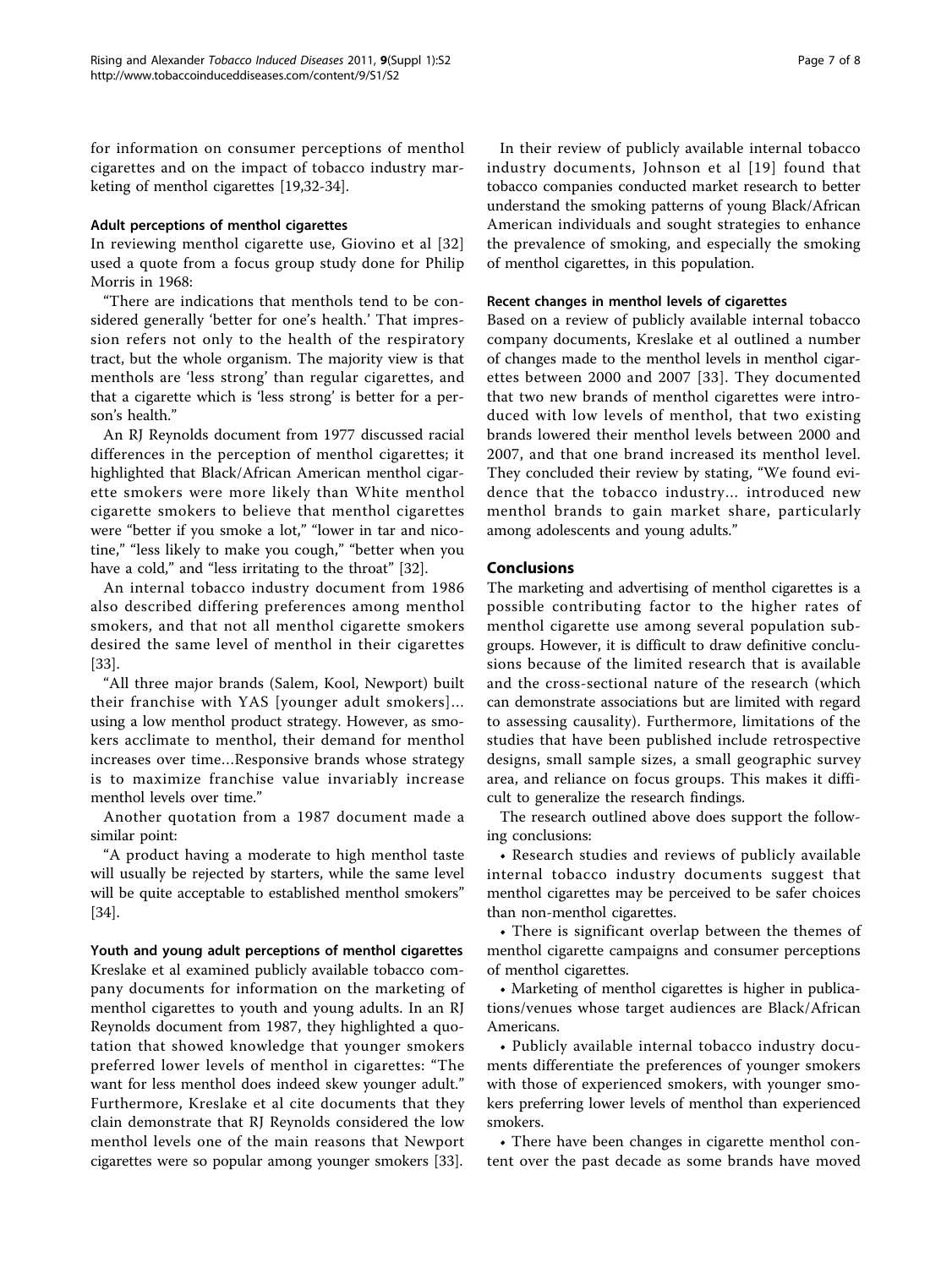for information on consumer perceptions of menthol cigarettes and on the impact of tobacco industry marketing of menthol cigarettes [\[19,32-34](#page-7-0)].

#### Adult perceptions of menthol cigarettes

In reviewing menthol cigarette use, Giovino et al [[32](#page-7-0)] used a quote from a focus group study done for Philip Morris in 1968:

"There are indications that menthols tend to be considered generally 'better for one's health.' That impression refers not only to the health of the respiratory tract, but the whole organism. The majority view is that menthols are 'less strong' than regular cigarettes, and that a cigarette which is 'less strong' is better for a person's health."

An RJ Reynolds document from 1977 discussed racial differences in the perception of menthol cigarettes; it highlighted that Black/African American menthol cigarette smokers were more likely than White menthol cigarette smokers to believe that menthol cigarettes were "better if you smoke a lot," "lower in tar and nicotine," "less likely to make you cough," "better when you have a cold," and "less irritating to the throat" [[32\]](#page-7-0).

An internal tobacco industry document from 1986 also described differing preferences among menthol smokers, and that not all menthol cigarette smokers desired the same level of menthol in their cigarettes [[33\]](#page-7-0).

"All three major brands (Salem, Kool, Newport) built their franchise with YAS [younger adult smokers]… using a low menthol product strategy. However, as smokers acclimate to menthol, their demand for menthol increases over time…Responsive brands whose strategy is to maximize franchise value invariably increase menthol levels over time."

Another quotation from a 1987 document made a similar point:

"A product having a moderate to high menthol taste will usually be rejected by starters, while the same level will be quite acceptable to established menthol smokers" [[34\]](#page-7-0).

Youth and young adult perceptions of menthol cigarettes Kreslake et al examined publicly available tobacco company documents for information on the marketing of menthol cigarettes to youth and young adults. In an RJ Reynolds document from 1987, they highlighted a quotation that showed knowledge that younger smokers preferred lower levels of menthol in cigarettes: "The want for less menthol does indeed skew younger adult." Furthermore, Kreslake et al cite documents that they clain demonstrate that RJ Reynolds considered the low menthol levels one of the main reasons that Newport cigarettes were so popular among younger smokers [[33](#page-7-0)].

In their review of publicly available internal tobacco industry documents, Johnson et al [[19\]](#page-7-0) found that tobacco companies conducted market research to better understand the smoking patterns of young Black/African American individuals and sought strategies to enhance the prevalence of smoking, and especially the smoking of menthol cigarettes, in this population.

#### Recent changes in menthol levels of cigarettes

Based on a review of publicly available internal tobacco company documents, Kreslake et al outlined a number of changes made to the menthol levels in menthol cigarettes between 2000 and 2007 [[33](#page-7-0)]. They documented that two new brands of menthol cigarettes were introduced with low levels of menthol, that two existing brands lowered their menthol levels between 2000 and 2007, and that one brand increased its menthol level. They concluded their review by stating, "We found evidence that the tobacco industry… introduced new menthol brands to gain market share, particularly among adolescents and young adults."

#### Conclusions

The marketing and advertising of menthol cigarettes is a possible contributing factor to the higher rates of menthol cigarette use among several population subgroups. However, it is difficult to draw definitive conclusions because of the limited research that is available and the cross-sectional nature of the research (which can demonstrate associations but are limited with regard to assessing causality). Furthermore, limitations of the studies that have been published include retrospective designs, small sample sizes, a small geographic survey area, and reliance on focus groups. This makes it difficult to generalize the research findings.

The research outlined above does support the following conclusions:

• Research studies and reviews of publicly available internal tobacco industry documents suggest that menthol cigarettes may be perceived to be safer choices than non-menthol cigarettes.

• There is significant overlap between the themes of menthol cigarette campaigns and consumer perceptions of menthol cigarettes.

• Marketing of menthol cigarettes is higher in publications/venues whose target audiences are Black/African Americans.

• Publicly available internal tobacco industry documents differentiate the preferences of younger smokers with those of experienced smokers, with younger smokers preferring lower levels of menthol than experienced smokers.

• There have been changes in cigarette menthol content over the past decade as some brands have moved